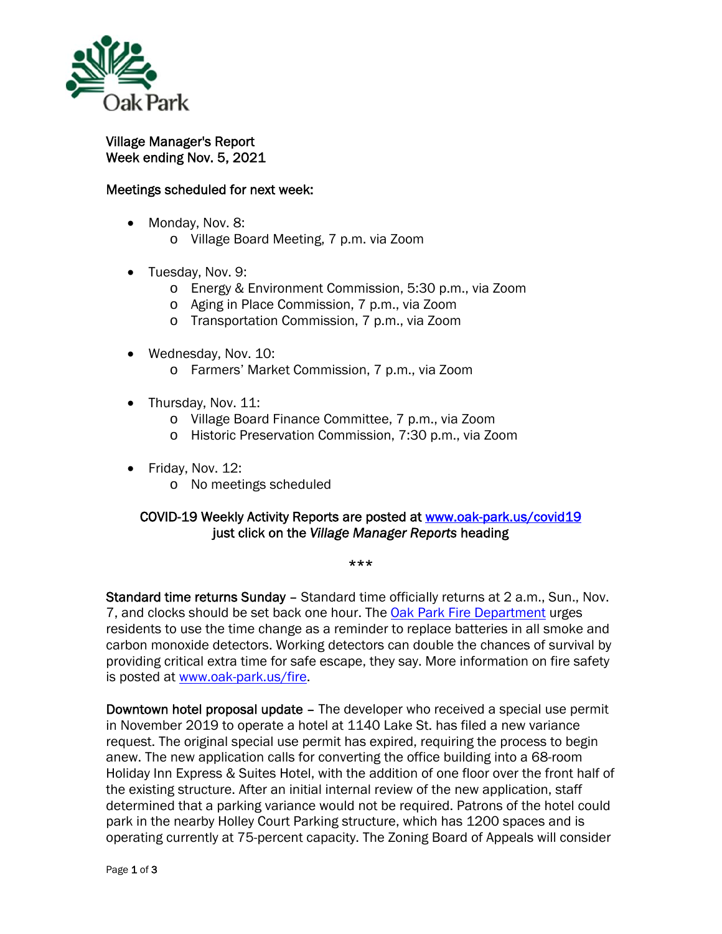

Village Manager's Report Week ending Nov. 5, 2021

## Meetings scheduled for next week:

- Monday, Nov. 8:
	- o Village Board Meeting, 7 p.m. via Zoom
- Tuesday, Nov. 9:
	- o Energy & Environment Commission, 5:30 p.m., via Zoom
	- o Aging in Place Commission, 7 p.m., via Zoom
	- o Transportation Commission, 7 p.m., via Zoom
- Wednesday, Nov. 10:
	- o Farmers' Market Commission, 7 p.m., via Zoom
- Thursday, Nov. 11:
	- o Village Board Finance Committee, 7 p.m., via Zoom
	- o Historic Preservation Commission, 7:30 p.m., via Zoom
- Friday, Nov. 12:
	- o No meetings scheduled

## COVID-19 Weekly Activity Reports are posted at www.oak-park.us/covid19 just click on the *Village Manager Reports* heading

\*\*\*

Standard time returns Sunday - Standard time officially returns at 2 a.m., Sun., Nov. 7, and clocks should be set back one hour. The Oak Park Fire Department urges residents to use the time change as a reminder to replace batteries in all smoke and carbon monoxide detectors. Working detectors can double the chances of survival by providing critical extra time for safe escape, they say. More information on fire safety is posted at www.oak-park.us/fire.

Downtown hotel proposal update – The developer who received a special use permit in November 2019 to operate a hotel at 1140 Lake St. has filed a new variance request. The original special use permit has expired, requiring the process to begin anew. The new application calls for converting the office building into a 68-room Holiday Inn Express & Suites Hotel, with the addition of one floor over the front half of the existing structure. After an initial internal review of the new application, staff determined that a parking variance would not be required. Patrons of the hotel could park in the nearby Holley Court Parking structure, which has 1200 spaces and is operating currently at 75-percent capacity. The Zoning Board of Appeals will consider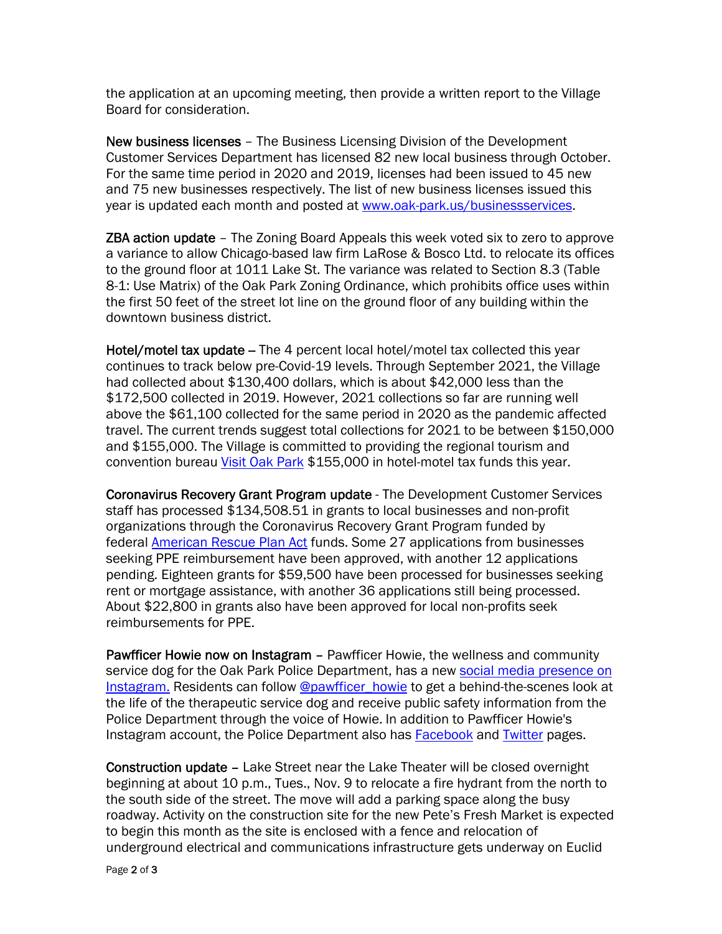the application at an upcoming meeting, then provide a written report to the Village Board for consideration.

New business licenses – The Business Licensing Division of the Development Customer Services Department has licensed 82 new local business through October. For the same time period in 2020 and 2019, licenses had been issued to 45 new and 75 new businesses respectively. The list of new business licenses issued this year is updated each month and posted at www.oak-park.us/businessservices.

**ZBA action update** – The Zoning Board Appeals this week voted six to zero to approve a variance to allow Chicago-based law firm LaRose & Bosco Ltd. to relocate its offices to the ground floor at 1011 Lake St. The variance was related to Section 8.3 (Table 8-1: Use Matrix) of the Oak Park Zoning Ordinance, which prohibits office uses within the first 50 feet of the street lot line on the ground floor of any building within the downtown business district.

Hotel/motel tax update - The 4 percent local hotel/motel tax collected this year continues to track below pre-Covid-19 levels. Through September 2021, the Village had collected about \$130,400 dollars, which is about \$42,000 less than the \$172,500 collected in 2019. However, 2021 collections so far are running well above the \$61,100 collected for the same period in 2020 as the pandemic affected travel. The current trends suggest total collections for 2021 to be between \$150,000 and \$155,000. The Village is committed to providing the regional tourism and convention bureau Visit Oak Park \$155,000 in hotel-motel tax funds this year.

Coronavirus Recovery Grant Program update - The Development Customer Services staff has processed \$134,508.51 in grants to local businesses and non-profit organizations through the Coronavirus Recovery Grant Program funded by federal American Rescue Plan Act funds. Some 27 applications from businesses seeking PPE reimbursement have been approved, with another 12 applications pending. Eighteen grants for \$59,500 have been processed for businesses seeking rent or mortgage assistance, with another 36 applications still being processed. About \$22,800 in grants also have been approved for local non-profits seek reimbursements for PPE.

Pawfficer Howie now on Instagram - Pawfficer Howie, the wellness and community service dog for the Oak Park Police Department, has a new social media presence on Instagram. Residents can follow @pawfficer\_howie to get a behind-the-scenes look at the life of the therapeutic service dog and receive public safety information from the Police Department through the voice of Howie. In addition to Pawfficer Howie's Instagram account, the Police Department also has Facebook and Twitter pages.

Construction update – Lake Street near the Lake Theater will be closed overnight beginning at about 10 p.m., Tues., Nov. 9 to relocate a fire hydrant from the north to the south side of the street. The move will add a parking space along the busy roadway. Activity on the construction site for the new Pete's Fresh Market is expected to begin this month as the site is enclosed with a fence and relocation of underground electrical and communications infrastructure gets underway on Euclid